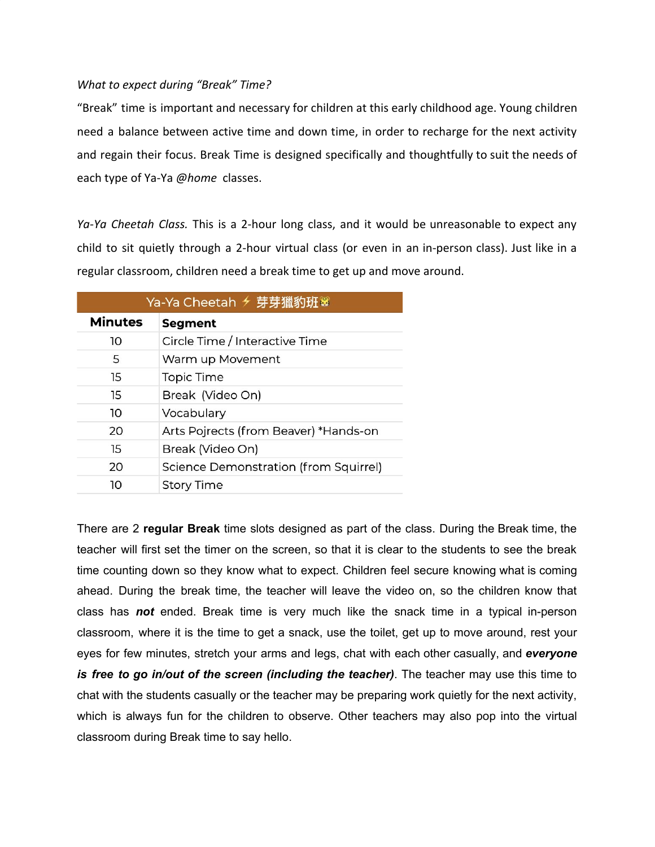## *What to expect during "Break" Time?*

"Break" time is important and necessary for children at this early childhood age. Young children need a balance between active time and down time, in order to recharge for the next activity and regain their focus. Break Time is designed specifically and thoughtfully to suit the needs of each type of Ya-Ya *@home* classes.

*Ya-Ya Cheetah Class.* This is a 2-hour long class, and it would be unreasonable to expect any child to sit quietly through a 2-hour virtual class (or even in an in-person class). Just like in a regular classroom, children need a break time to get up and move around.

|                | Ya-Ya Cheetah <del>୵</del> 芽芽獵豹班 ※    |  |  |
|----------------|---------------------------------------|--|--|
| <b>Minutes</b> | <b>Segment</b>                        |  |  |
| 10             | Circle Time / Interactive Time        |  |  |
| 5              | Warm up Movement                      |  |  |
| 15             | <b>Topic Time</b>                     |  |  |
| 15             | Break (Video On)                      |  |  |
| 10             | Vocabulary                            |  |  |
| 20             | Arts Pojrects (from Beaver) *Hands-on |  |  |
| 15             | Break (Video On)                      |  |  |
| 20             | Science Demonstration (from Squirrel) |  |  |
| 10             | <b>Story Time</b>                     |  |  |

There are 2 **regular Break** time slots designed as part of the class. During the Break time, the teacher will first set the timer on the screen, so that it is clear to the students to see the break time counting down so they know what to expect. Children feel secure knowing what is coming ahead. During the break time, the teacher will leave the video on, so the children know that class has *not* ended. Break time is very much like the snack time in a typical in-person classroom, where it is the time to get a snack, use the toilet, get up to move around, rest your eyes for few minutes, stretch your arms and legs, chat with each other casually, and *everyone is free to go in/out of the screen (including the teacher)*. The teacher may use this time to chat with the students casually or the teacher may be preparing work quietly for the next activity, which is always fun for the children to observe. Other teachers may also pop into the virtual classroom during Break time to say hello.